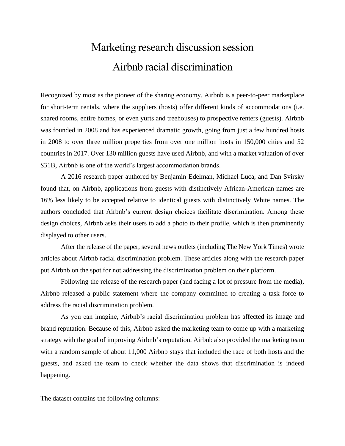## Marketing research discussion session Airbnb racial discrimination

Recognized by most as the pioneer of the sharing economy, Airbnb is a peer-to-peer marketplace for short-term rentals, where the suppliers (hosts) offer different kinds of accommodations (i.e. shared rooms, entire homes, or even yurts and treehouses) to prospective renters (guests). Airbnb was founded in 2008 and has experienced dramatic growth, going from just a few hundred hosts in 2008 to over three million properties from over one million hosts in 150,000 cities and 52 countries in 2017. Over 130 million guests have used Airbnb, and with a market valuation of over \$31B, Airbnb is one of the world's largest accommodation brands.

A 2016 research paper authored by Benjamin Edelman, Michael Luca, and Dan Svirsky found that, on Airbnb, applications from guests with distinctively African-American names are 16% less likely to be accepted relative to identical guests with distinctively White names. The authors concluded that Airbnb's current design choices facilitate discrimination. Among these design choices, Airbnb asks their users to add a photo to their profile, which is then prominently displayed to other users.

After the release of the paper, several news outlets (including The New York Times) wrote articles about Airbnb racial discrimination problem. These articles along with the research paper put Airbnb on the spot for not addressing the discrimination problem on their platform.

Following the release of the research paper (and facing a lot of pressure from the media), Airbnb released a public statement where the company committed to creating a task force to address the racial discrimination problem.

As you can imagine, Airbnb's racial discrimination problem has affected its image and brand reputation. Because of this, Airbnb asked the marketing team to come up with a marketing strategy with the goal of improving Airbnb's reputation. Airbnb also provided the marketing team with a random sample of about 11,000 Airbnb stays that included the race of both hosts and the guests, and asked the team to check whether the data shows that discrimination is indeed happening.

The dataset contains the following columns: